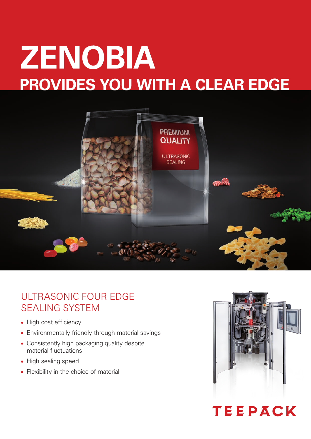# **ZENOBIA provides you with a clear edge**



## ultrasonic four edge sealing System

- High cost efficiency
- Environmentally friendly through material savings
- Consistently high packaging quality despite material fluctuations
- High sealing speed
- Flexibility in the choice of material



# TEEPACK